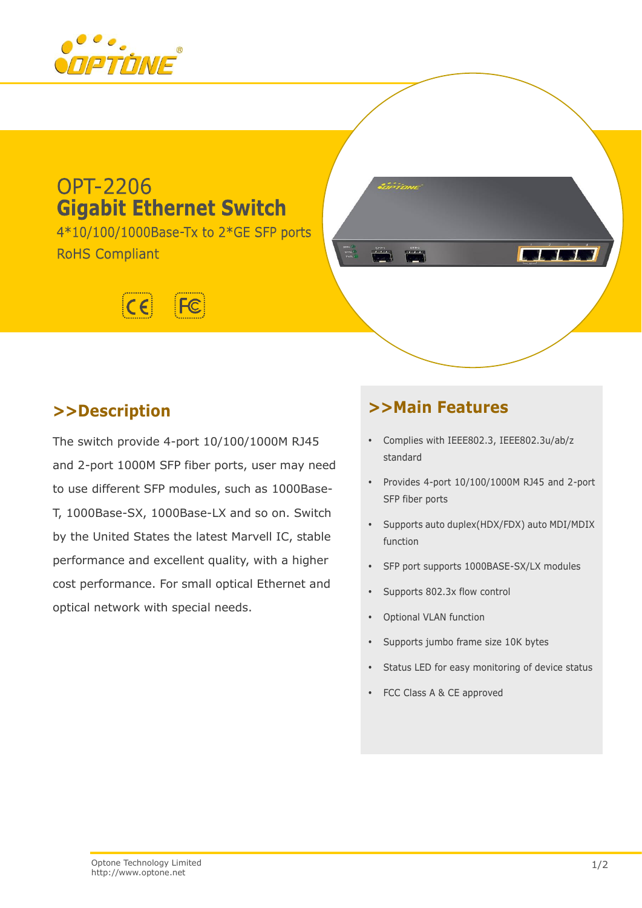

# **OPT-2206 Gigabit Ethernet Switch**

4\*10/100/1000Base-Tx to 2\*GE SFP ports **RoHS Compliant** 



# **>>Description**

The switch provide 4-port 10/100/1000M RJ45 and 2-port 1000M SFP fiber ports, user may need to use different SFP modules, such as 1000Base-T, 1000Base-SX, 1000Base-LX and so on. Switch by the United States the latest Marvell IC, stable performance and excellent quality, with a higher cost performance. For small optical Ethernet and optical network with special needs.

# **>>Main Features**

- Complies with IEEE802.3, IEEE802.3u/ab/z standard
- Provides 4-port 10/100/1000M RJ45 and 2-port SFP fiber ports

 $\mathcal{L}$ 

- Supports auto duplex(HDX/FDX) auto MDI/MDIX function
- SFP port supports 1000BASE-SX/LX modules
- Supports 802.3x flow control
- Optional VLAN function
- Supports jumbo frame size 10K bytes
- Status LED for easy monitoring of device status
- FCC Class A & CE approved